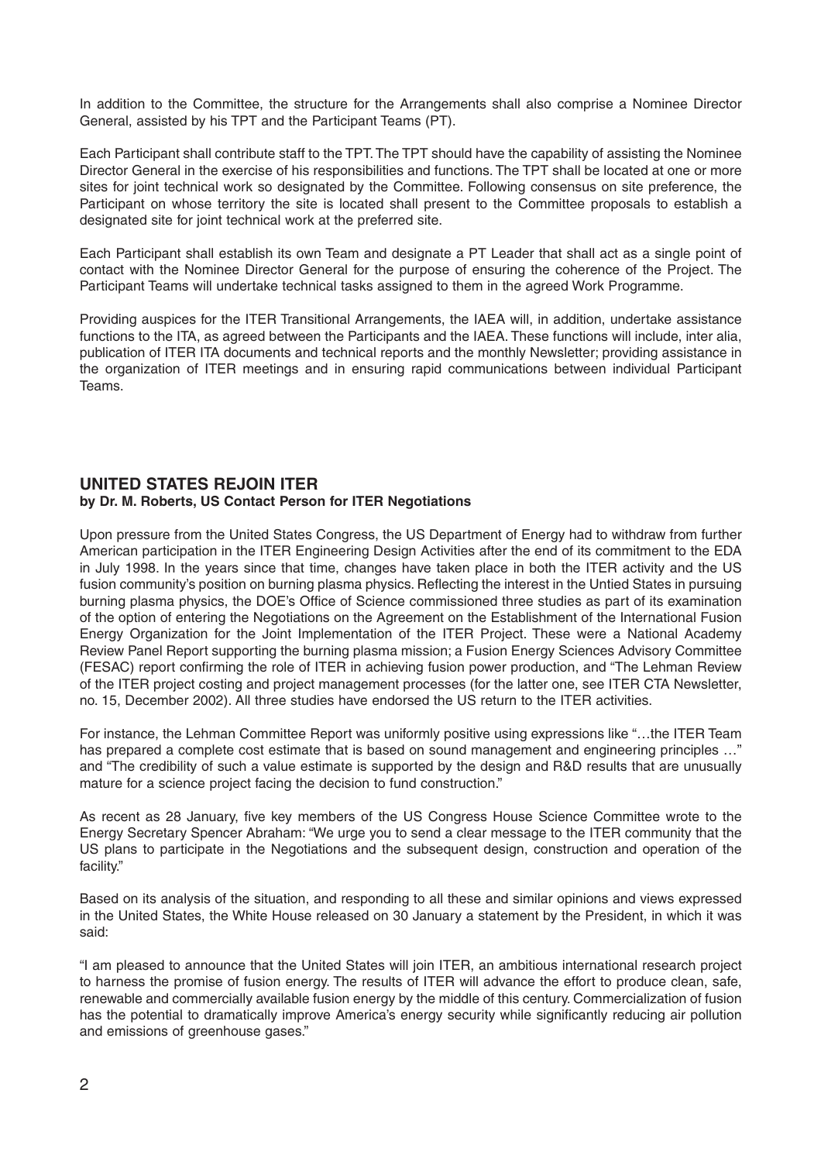In addition to the Committee, the structure for the Arrangements shall also comprise a Nominee Director General, assisted by his TPT and the Participant Teams (PT).

Each Participant shall contribute staff to the TPT. The TPT should have the capability of assisting the Nominee Director General in the exercise of his responsibilities and functions. The TPT shall be located at one or more sites for joint technical work so designated by the Committee. Following consensus on site preference, the Participant on whose territory the site is located shall present to the Committee proposals to establish a designated site for joint technical work at the preferred site.

Each Participant shall establish its own Team and designate a PT Leader that shall act as a single point of contact with the Nominee Director General for the purpose of ensuring the coherence of the Project. The Participant Teams will undertake technical tasks assigned to them in the agreed Work Programme.

Providing auspices for the ITER Transitional Arrangements, the IAEA will, in addition, undertake assistance functions to the ITA, as agreed between the Participants and the IAEA. These functions will include, inter alia, publication of ITER ITA documents and technical reports and the monthly Newsletter; providing assistance in the organization of ITER meetings and in ensuring rapid communications between individual Participant Teams.

## **UNITED STATES REJOIN ITER by Dr. M. Roberts, US Contact Person for ITER Negotiations**

Upon pressure from the United States Congress, the US Department of Energy had to withdraw from further American participation in the ITER Engineering Design Activities after the end of its commitment to the EDA in July 1998. In the years since that time, changes have taken place in both the ITER activity and the US fusion community's position on burning plasma physics. Reflecting the interest in the Untied States in pursuing burning plasma physics, the DOE's Office of Science commissioned three studies as part of its examination of the option of entering the Negotiations on the Agreement on the Establishment of the International Fusion Energy Organization for the Joint Implementation of the ITER Project. These were a National Academy Review Panel Report supporting the burning plasma mission; a Fusion Energy Sciences Advisory Committee (FESAC) report confirming the role of ITER in achieving fusion power production, and "The Lehman Review of the ITER project costing and project management processes (for the latter one, see ITER CTA Newsletter, no. 15, December 2002). All three studies have endorsed the US return to the ITER activities.

For instance, the Lehman Committee Report was uniformly positive using expressions like "…the ITER Team has prepared a complete cost estimate that is based on sound management and engineering principles …" and "The credibility of such a value estimate is supported by the design and R&D results that are unusually mature for a science project facing the decision to fund construction."

As recent as 28 January, five key members of the US Congress House Science Committee wrote to the Energy Secretary Spencer Abraham: "We urge you to send a clear message to the ITER community that the US plans to participate in the Negotiations and the subsequent design, construction and operation of the facility."

Based on its analysis of the situation, and responding to all these and similar opinions and views expressed in the United States, the White House released on 30 January a statement by the President, in which it was said:

"I am pleased to announce that the United States will join ITER, an ambitious international research project to harness the promise of fusion energy. The results of ITER will advance the effort to produce clean, safe, renewable and commercially available fusion energy by the middle of this century. Commercialization of fusion has the potential to dramatically improve America's energy security while significantly reducing air pollution and emissions of greenhouse gases."